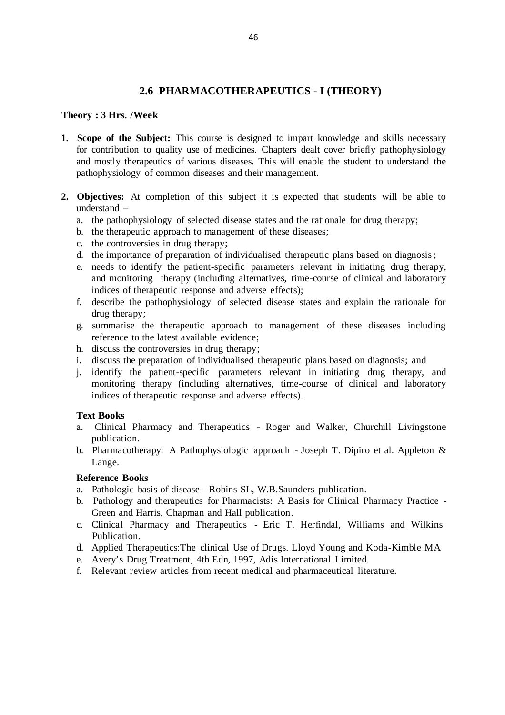## **2.6 PHARMACOTHERAPEUTICS - I (THEORY)**

#### **Theory : 3 Hrs. /Week**

- **1. Scope of the Subject:** This course is designed to impart knowledge and skills necessary for contribution to quality use of medicines. Chapters dealt cover briefly pathophysiology and mostly therapeutics of various diseases. This will enable the student to understand the pathophysiology of common diseases and their management.
- **2. Objectives:** At completion of this subject it is expected that students will be able to understand –
	- a. the pathophysiology of selected disease states and the rationale for drug therapy;
	- b. the therapeutic approach to management of these diseases;
	- c. the controversies in drug therapy;
	- d. the importance of preparation of individualised therapeutic plans based on diagnosis ;
	- e. needs to identify the patient-specific parameters relevant in initiating drug therapy, and monitoring therapy (including alternatives, time-course of clinical and laboratory indices of therapeutic response and adverse effects);
	- f. describe the pathophysiology of selected disease states and explain the rationale for drug therapy;
	- g. summarise the therapeutic approach to management of these diseases including reference to the latest available evidence;
	- h. discuss the controversies in drug therapy;
	- i. discuss the preparation of individualised therapeutic plans based on diagnosis; and
	- j. identify the patient-specific parameters relevant in initiating drug therapy, and monitoring therapy (including alternatives, time-course of clinical and laboratory indices of therapeutic response and adverse effects).

### **Text Books**

- a. Clinical Pharmacy and Therapeutics Roger and Walker, Churchill Livingstone publication.
- b. Pharmacotherapy: A Pathophysiologic approach Joseph T. Dipiro et al. Appleton & Lange.

### **Reference Books**

- a. Pathologic basis of disease Robins SL, W.B.Saunders publication.
- b. Pathology and therapeutics for Pharmacists: A Basis for Clinical Pharmacy Practice Green and Harris, Chapman and Hall publication.
- c. Clinical Pharmacy and Therapeutics Eric T. Herfindal, Williams and Wilkins Publication.
- d. Applied Therapeutics:The clinical Use of Drugs. Lloyd Young and Koda -Kimble MA
- e. Avery's Drug Treatment, 4th Edn, 1997, Adis International Limited.
- f. Relevant review articles from recent medical and pharmaceutical literature.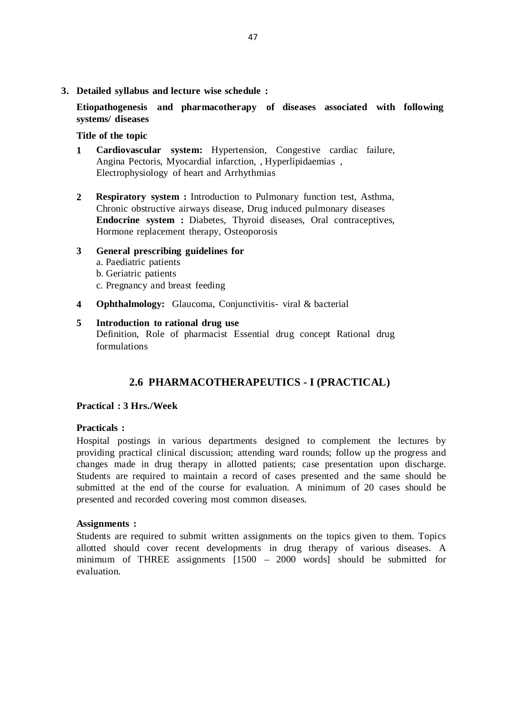**3. Detailed syllabus and lecture wise schedule :**

**Etiopathogenesis and pharmacotherapy of diseases associated with following systems/ diseases**

#### **Title of the topic**

- **1 Cardiovascular system:** Hypertension, Congestive cardiac failure, Angina Pectoris, Myocardial infarction, , Hyperlipidaemias , Electrophysiology of heart and Arrhythmias
- **2 Respiratory system :** Introduction to Pulmonary function test, Asthma, Chronic obstructive airways disease, Drug induced pulmonary diseases **Endocrine system :** Diabetes, Thyroid diseases, Oral contraceptives, Hormone replacement therapy, Osteoporosis

# **3 General prescribing guidelines for**

- a. Paediatric patients
- b. Geriatric patients
- c. Pregnancy and breast feeding
- **4 Ophthalmology:** Glaucoma, Conjunctivitis- viral & bacterial

## **5 Introduction to rational drug use**

Definition, Role of pharmacist Essential drug concept Rational drug formulations

# **2.6 PHARMACOTHERAPEUTICS - I (PRACTICAL)**

### **Practical : 3 Hrs./Week**

### **Practicals :**

Hospital postings in various departments designed to complement the lectures by providing practical clinical discussion; attending ward rounds; follow up the progress and changes made in drug therapy in allotted patients; case presentation upon discharge. Students are required to maintain a record of cases presented and the same should be submitted at the end of the course for evaluation. A minimum of 20 cases should be presented and recorded covering most common diseases.

### **Assignments :**

Students are required to submit written assignments on the topics given to them. Topics allotted should cover recent developments in drug therapy of various diseases. A minimum of THREE assignments [1500 – 2000 words] should be submitted for evaluation.